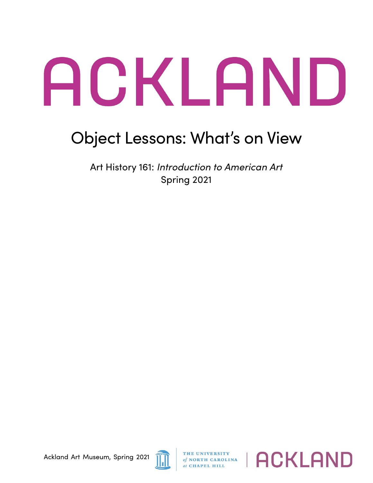## ACKLAND

## Object Lessons: What's on View

Art History 161: *Introduction to American Art* Spring 2021



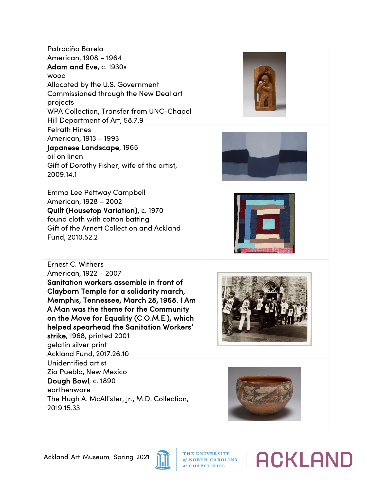| Patrociño Barela<br>American, 1908 - 1964<br>Adam and Eve, c. 1930s<br>wood<br>Allocated by the U.S. Government<br><b>Commissioned through the New Deal art</b><br>projects<br>WPA Collection, Transfer from UNC-Chapel<br>Hill Department of Art, 58.7.9                                                                                                                                         |  |
|---------------------------------------------------------------------------------------------------------------------------------------------------------------------------------------------------------------------------------------------------------------------------------------------------------------------------------------------------------------------------------------------------|--|
| <b>Felrath Hines</b><br>American, 1913 - 1993<br>Japanese Landscape, 1965<br>oil on linen<br>Gift of Dorothy Fisher, wife of the artist,<br>2009.14.1                                                                                                                                                                                                                                             |  |
| Emma Lee Pettway Campbell<br>American, 1928 - 2002<br>Quilt (Housetop Variation), c. 1970<br>found cloth with cotton batting<br>Gift of the Arnett Collection and Ackland<br>Fund, 2010.52.2                                                                                                                                                                                                      |  |
| Ernest C. Withers<br>American, 1922 - 2007<br>Sanitation workers assemble in front of<br>Clayborn Temple for a solidarity march,<br>Memphis, Tennessee, March 28, 1968. I Am<br>A Man was the theme for the Community<br>on the Move for Equality (C.O.M.E.), which<br>helped spearhead the Sanitation Workers'<br>strike, 1968, printed 2001<br>gelatin silver print<br>Ackland Fund, 2017.26.10 |  |
| Unidentified artist<br>Zia Pueblo, New Mexico<br>Dough Bowl, c. 1890<br>earthenware<br>The Hugh A. McAllister, Jr., M.D. Collection,<br>2019.15.33                                                                                                                                                                                                                                                |  |



THE UNIVERSITY<br>of NORTH CAROLINA<br>at CHAPEL HILL

**ACKLAND**